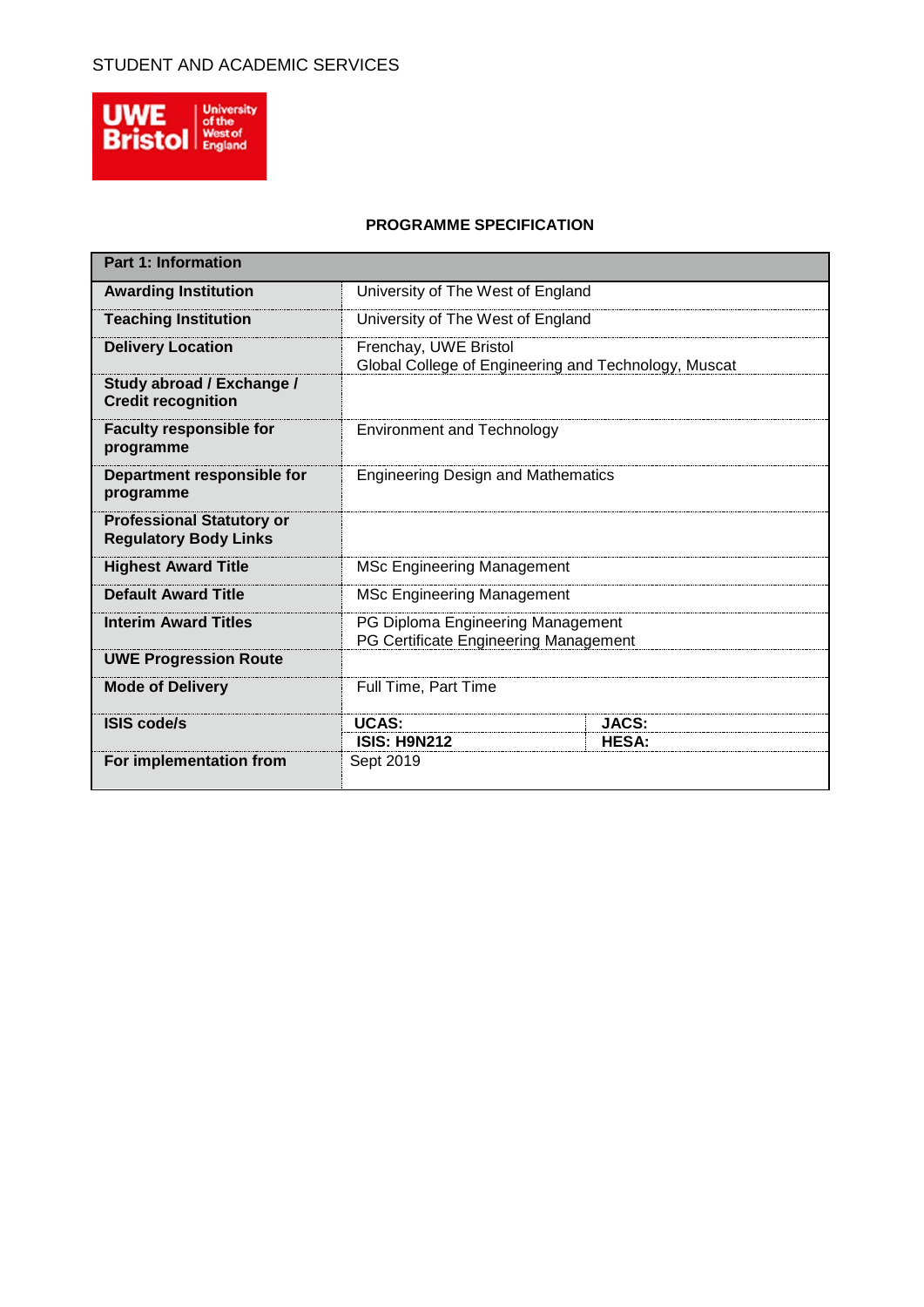

## **PROGRAMME SPECIFICATION**

| <b>Part 1: Information</b>                                       |                                                                               |              |  |  |  |  |
|------------------------------------------------------------------|-------------------------------------------------------------------------------|--------------|--|--|--|--|
| <b>Awarding Institution</b>                                      | University of The West of England                                             |              |  |  |  |  |
| <b>Teaching Institution</b>                                      | University of The West of England                                             |              |  |  |  |  |
| <b>Delivery Location</b>                                         | Frenchay, UWE Bristol<br>Global College of Engineering and Technology, Muscat |              |  |  |  |  |
| Study abroad / Exchange /<br><b>Credit recognition</b>           |                                                                               |              |  |  |  |  |
| <b>Faculty responsible for</b><br>programme                      | <b>Environment and Technology</b>                                             |              |  |  |  |  |
| Department responsible for<br>programme                          | <b>Engineering Design and Mathematics</b>                                     |              |  |  |  |  |
| <b>Professional Statutory or</b><br><b>Regulatory Body Links</b> |                                                                               |              |  |  |  |  |
| <b>Highest Award Title</b>                                       | <b>MSc Engineering Management</b>                                             |              |  |  |  |  |
| <b>Default Award Title</b>                                       | <b>MSc Engineering Management</b>                                             |              |  |  |  |  |
| <b>Interim Award Titles</b>                                      | PG Diploma Engineering Management<br>PG Certificate Engineering Management    |              |  |  |  |  |
| <b>UWE Progression Route</b>                                     |                                                                               |              |  |  |  |  |
| <b>Mode of Delivery</b>                                          | Full Time, Part Time                                                          |              |  |  |  |  |
| <b>ISIS code/s</b>                                               | <b>UCAS:</b>                                                                  | <b>JACS:</b> |  |  |  |  |
|                                                                  | <b>ISIS: H9N212</b>                                                           | <b>HESA:</b> |  |  |  |  |
| For implementation from                                          | Sept 2019                                                                     |              |  |  |  |  |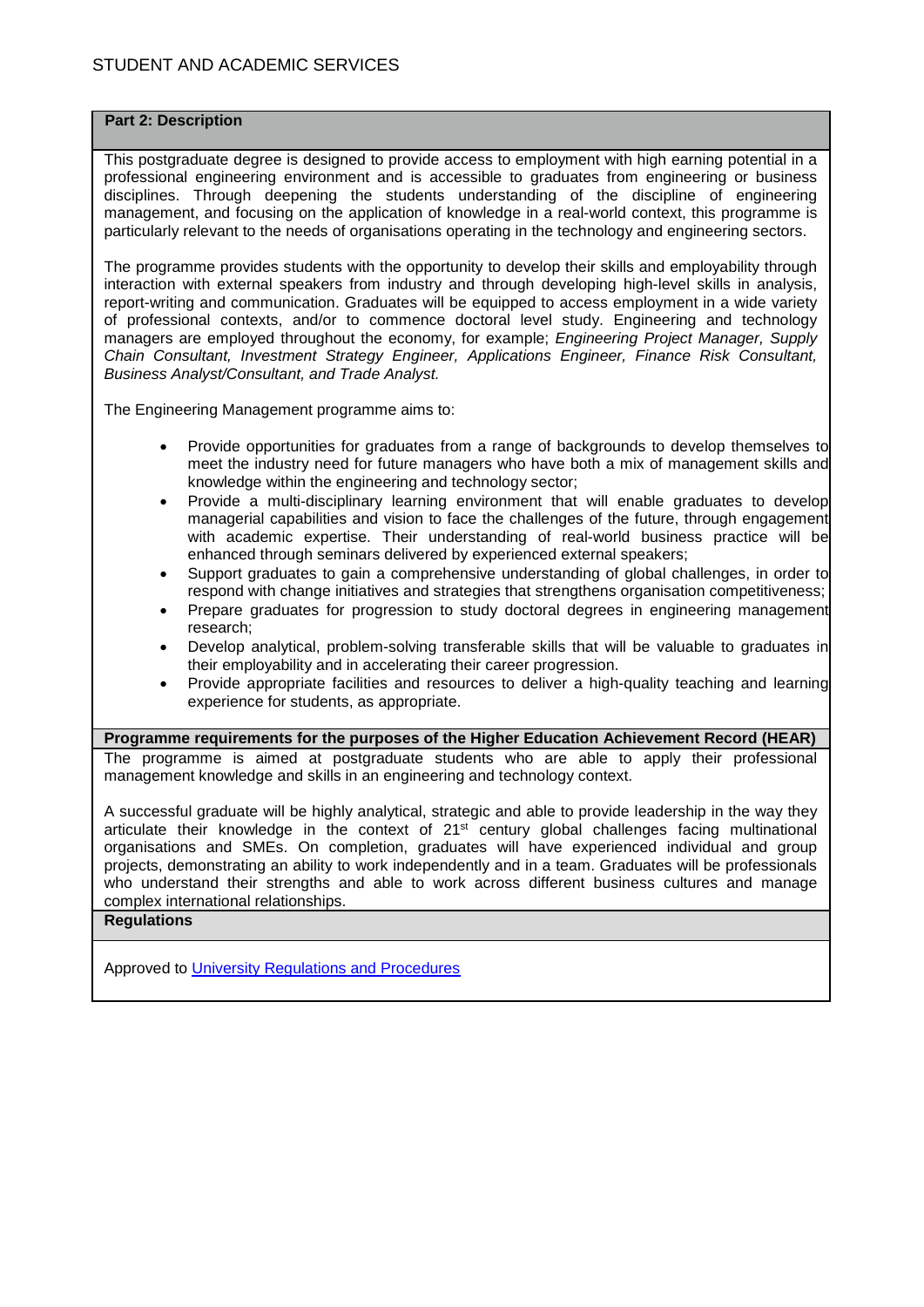#### **Part 2: Description**

This postgraduate degree is designed to provide access to employment with high earning potential in a professional engineering environment and is accessible to graduates from engineering or business disciplines. Through deepening the students understanding of the discipline of engineering management, and focusing on the application of knowledge in a real-world context, this programme is particularly relevant to the needs of organisations operating in the technology and engineering sectors.

The programme provides students with the opportunity to develop their skills and employability through interaction with external speakers from industry and through developing high-level skills in analysis, report-writing and communication. Graduates will be equipped to access employment in a wide variety of professional contexts, and/or to commence doctoral level study. Engineering and technology managers are employed throughout the economy, for example; *Engineering Project Manager, Supply Chain Consultant, Investment Strategy Engineer, Applications Engineer, Finance Risk Consultant, Business Analyst/Consultant, and Trade Analyst.*

The Engineering Management programme aims to:

- Provide opportunities for graduates from a range of backgrounds to develop themselves to meet the industry need for future managers who have both a mix of management skills and knowledge within the engineering and technology sector;
- Provide a multi-disciplinary learning environment that will enable graduates to develop managerial capabilities and vision to face the challenges of the future, through engagement with academic expertise. Their understanding of real-world business practice will be enhanced through seminars delivered by experienced external speakers;
- Support graduates to gain a comprehensive understanding of global challenges, in order to respond with change initiatives and strategies that strengthens organisation competitiveness;
- Prepare graduates for progression to study doctoral degrees in engineering management research;
- Develop analytical, problem-solving transferable skills that will be valuable to graduates in their employability and in accelerating their career progression.
- Provide appropriate facilities and resources to deliver a high-quality teaching and learning experience for students, as appropriate.

#### **Programme requirements for the purposes of the Higher Education Achievement Record (HEAR)**

The programme is aimed at postgraduate students who are able to apply their professional management knowledge and skills in an engineering and technology context.

A successful graduate will be highly analytical, strategic and able to provide leadership in the way they articulate their knowledge in the context of 21<sup>st</sup> century global challenges facing multinational organisations and SMEs. On completion, graduates will have experienced individual and group projects, demonstrating an ability to work independently and in a team. Graduates will be professionals who understand their strengths and able to work across different business cultures and manage complex international relationships.

#### **Regulations**

Approved to [University Regulations and Procedures](http://www1.uwe.ac.uk/students/academicadvice/assessments/regulationsandprocedures.aspx)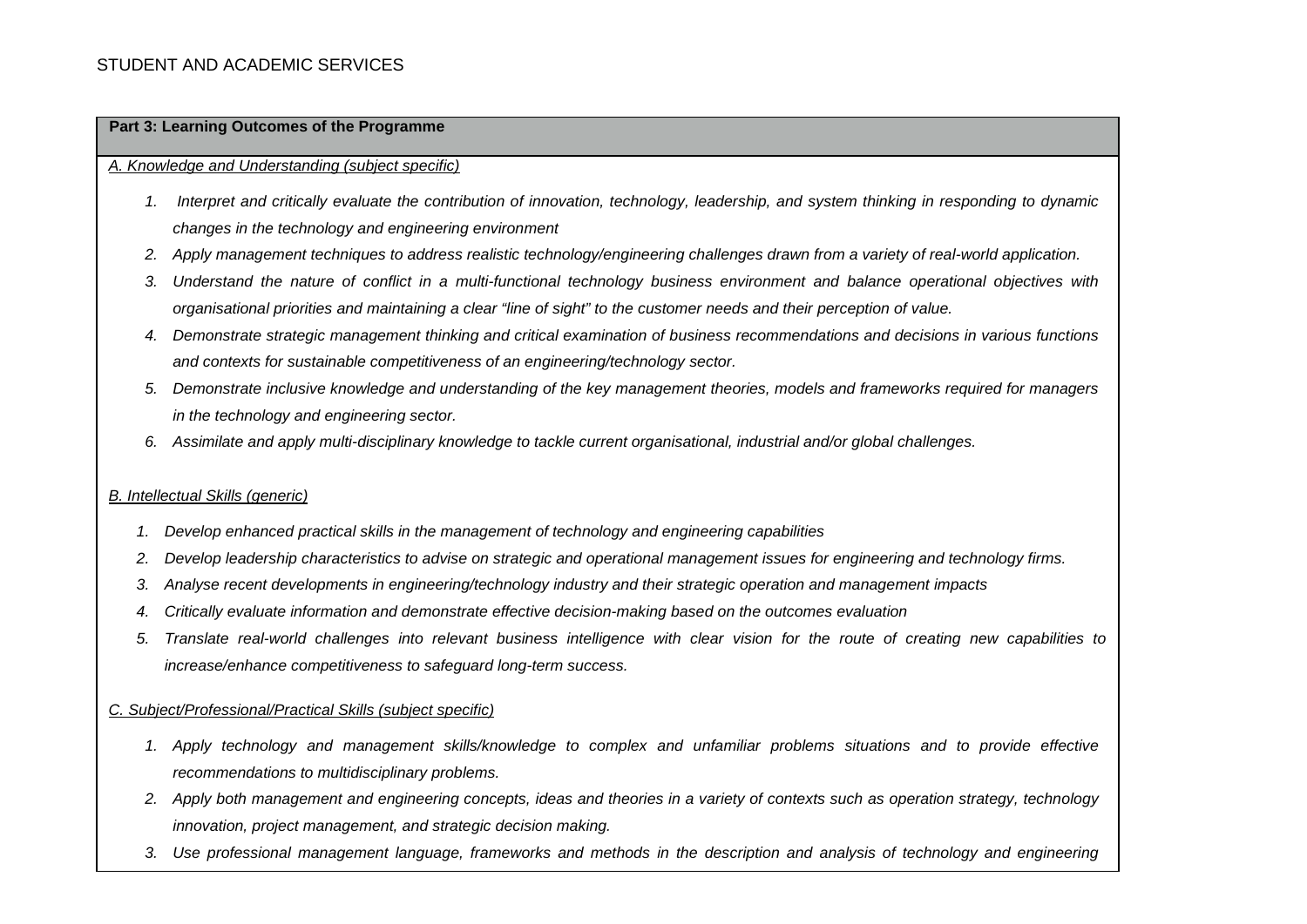#### **Part 3: Learning Outcomes of the Programme**

#### *A. Knowledge and Understanding (subject specific)*

- *1. Interpret and critically evaluate the contribution of innovation, technology, leadership, and system thinking in responding to dynamic changes in the technology and engineering environment*
- *2. Apply management techniques to address realistic technology/engineering challenges drawn from a variety of real-world application.*
- *3. Understand the nature of conflict in a multi-functional technology business environment and balance operational objectives with organisational priorities and maintaining a clear "line of sight" to the customer needs and their perception of value.*
- *4. Demonstrate strategic management thinking and critical examination of business recommendations and decisions in various functions and contexts for sustainable competitiveness of an engineering/technology sector.*
- *5. Demonstrate inclusive knowledge and understanding of the key management theories, models and frameworks required for managers in the technology and engineering sector.*
- *6. Assimilate and apply multi-disciplinary knowledge to tackle current organisational, industrial and/or global challenges.*

#### *B. Intellectual Skills (generic)*

- *1. Develop enhanced practical skills in the management of technology and engineering capabilities*
- *2. Develop leadership characteristics to advise on strategic and operational management issues for engineering and technology firms.*
- *3. Analyse recent developments in engineering/technology industry and their strategic operation and management impacts*
- *4. Critically evaluate information and demonstrate effective decision-making based on the outcomes evaluation*
- *5. Translate real-world challenges into relevant business intelligence with clear vision for the route of creating new capabilities to increase/enhance competitiveness to safeguard long-term success.*

#### *C. Subject/Professional/Practical Skills (subject specific)*

- *1. Apply technology and management skills/knowledge to complex and unfamiliar problems situations and to provide effective recommendations to multidisciplinary problems.*
- *2. Apply both management and engineering concepts, ideas and theories in a variety of contexts such as operation strategy, technology innovation, project management, and strategic decision making.*
- *3. Use professional management language, frameworks and methods in the description and analysis of technology and engineering*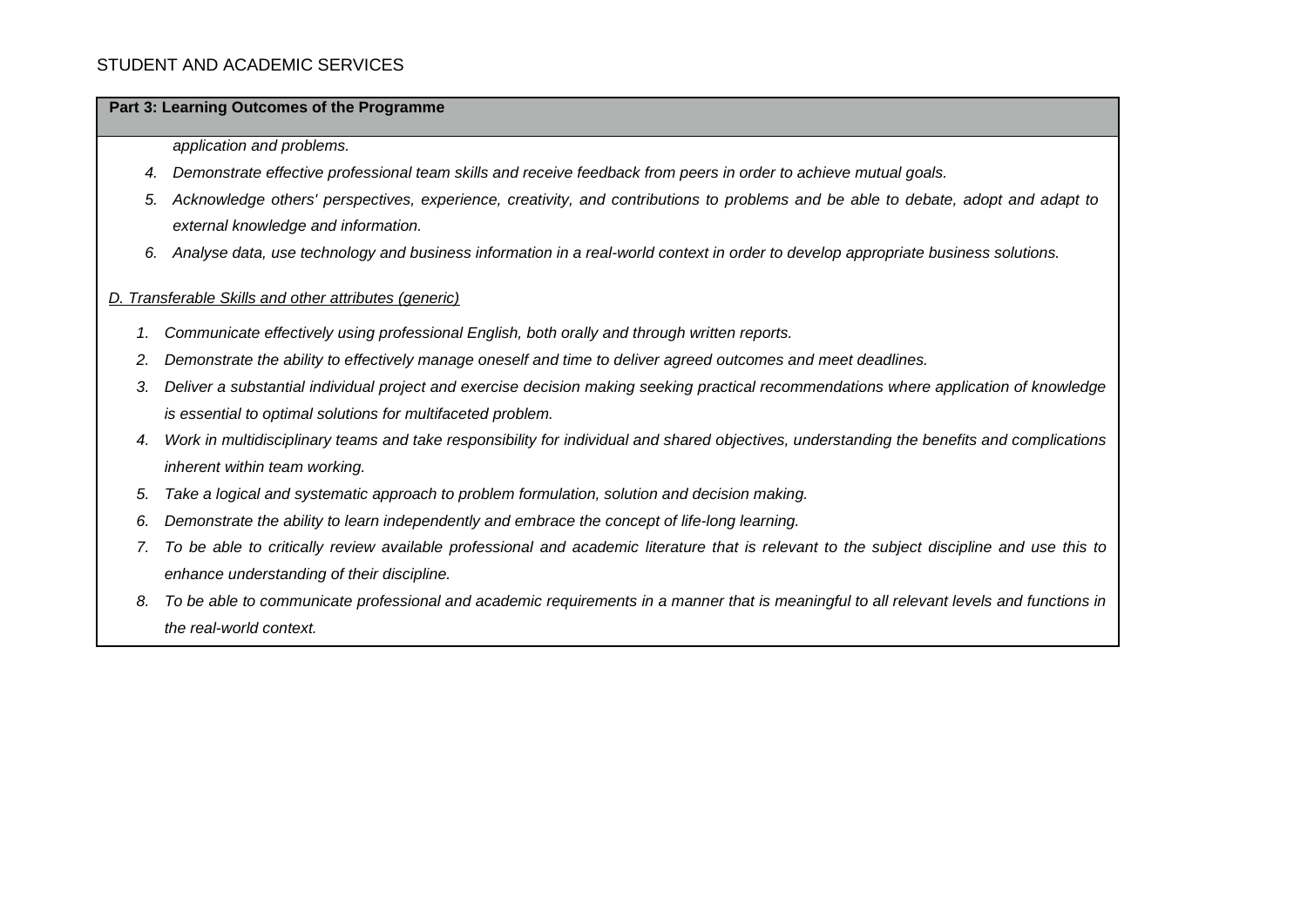#### **Part 3: Learning Outcomes of the Programme**

*application and problems.*

- *4. Demonstrate effective professional team skills and receive feedback from peers in order to achieve mutual goals.*
- *5. Acknowledge others' perspectives, experience, creativity, and contributions to problems and be able to debate, adopt and adapt to external knowledge and information.*
- *6. Analyse data, use technology and business information in a real-world context in order to develop appropriate business solutions.*

#### *D. Transferable Skills and other attributes (generic)*

- *1. Communicate effectively using professional English, both orally and through written reports.*
- *2. Demonstrate the ability to effectively manage oneself and time to deliver agreed outcomes and meet deadlines.*
- *3. Deliver a substantial individual project and exercise decision making seeking practical recommendations where application of knowledge is essential to optimal solutions for multifaceted problem.*
- *4. Work in multidisciplinary teams and take responsibility for individual and shared objectives, understanding the benefits and complications inherent within team working.*
- *5. Take a logical and systematic approach to problem formulation, solution and decision making.*
- *6. Demonstrate the ability to learn independently and embrace the concept of life-long learning.*
- *7. To be able to critically review available professional and academic literature that is relevant to the subject discipline and use this to enhance understanding of their discipline.*
- *8. To be able to communicate professional and academic requirements in a manner that is meaningful to all relevant levels and functions in the real-world context.*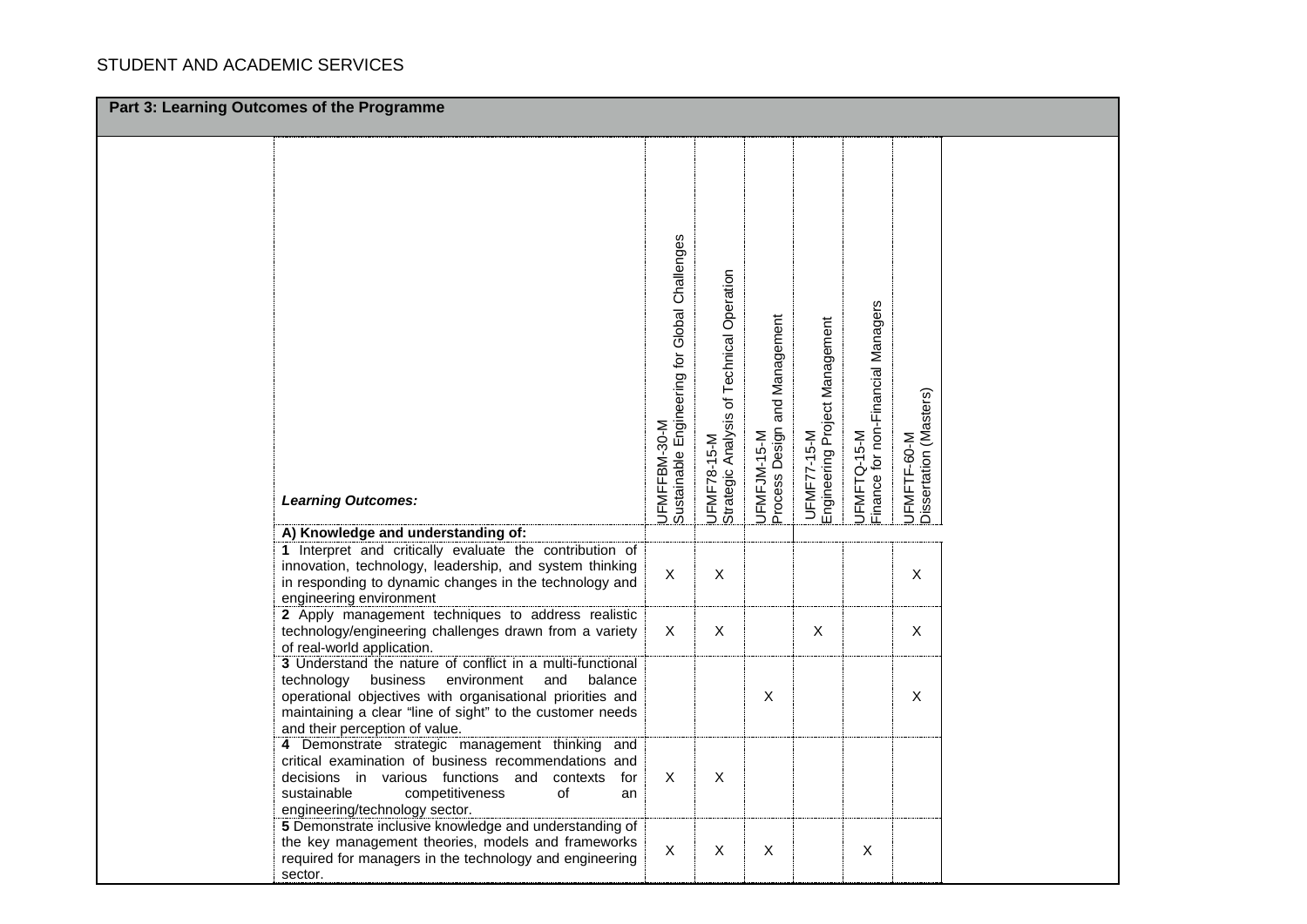| Part 3: Learning Outcomes of the Programme |                                                                                                                                                                                                                                                                                                                                                                                                                                                                                                                                                                                                                                                                                                                                                                                                                                                                                                                                               |                                                                                            |                                                               |                                                                           |                                                              |                                                   |                                                      |  |
|--------------------------------------------|-----------------------------------------------------------------------------------------------------------------------------------------------------------------------------------------------------------------------------------------------------------------------------------------------------------------------------------------------------------------------------------------------------------------------------------------------------------------------------------------------------------------------------------------------------------------------------------------------------------------------------------------------------------------------------------------------------------------------------------------------------------------------------------------------------------------------------------------------------------------------------------------------------------------------------------------------|--------------------------------------------------------------------------------------------|---------------------------------------------------------------|---------------------------------------------------------------------------|--------------------------------------------------------------|---------------------------------------------------|------------------------------------------------------|--|
|                                            |                                                                                                                                                                                                                                                                                                                                                                                                                                                                                                                                                                                                                                                                                                                                                                                                                                                                                                                                               |                                                                                            |                                                               |                                                                           |                                                              |                                                   |                                                      |  |
|                                            |                                                                                                                                                                                                                                                                                                                                                                                                                                                                                                                                                                                                                                                                                                                                                                                                                                                                                                                                               |                                                                                            |                                                               |                                                                           |                                                              |                                                   |                                                      |  |
|                                            |                                                                                                                                                                                                                                                                                                                                                                                                                                                                                                                                                                                                                                                                                                                                                                                                                                                                                                                                               |                                                                                            |                                                               |                                                                           |                                                              |                                                   |                                                      |  |
|                                            |                                                                                                                                                                                                                                                                                                                                                                                                                                                                                                                                                                                                                                                                                                                                                                                                                                                                                                                                               |                                                                                            |                                                               |                                                                           |                                                              |                                                   |                                                      |  |
|                                            |                                                                                                                                                                                                                                                                                                                                                                                                                                                                                                                                                                                                                                                                                                                                                                                                                                                                                                                                               |                                                                                            |                                                               |                                                                           |                                                              |                                                   |                                                      |  |
|                                            |                                                                                                                                                                                                                                                                                                                                                                                                                                                                                                                                                                                                                                                                                                                                                                                                                                                                                                                                               |                                                                                            |                                                               |                                                                           |                                                              |                                                   |                                                      |  |
|                                            |                                                                                                                                                                                                                                                                                                                                                                                                                                                                                                                                                                                                                                                                                                                                                                                                                                                                                                                                               |                                                                                            |                                                               |                                                                           |                                                              |                                                   |                                                      |  |
|                                            |                                                                                                                                                                                                                                                                                                                                                                                                                                                                                                                                                                                                                                                                                                                                                                                                                                                                                                                                               |                                                                                            |                                                               |                                                                           |                                                              |                                                   |                                                      |  |
|                                            |                                                                                                                                                                                                                                                                                                                                                                                                                                                                                                                                                                                                                                                                                                                                                                                                                                                                                                                                               |                                                                                            |                                                               |                                                                           |                                                              |                                                   |                                                      |  |
|                                            |                                                                                                                                                                                                                                                                                                                                                                                                                                                                                                                                                                                                                                                                                                                                                                                                                                                                                                                                               |                                                                                            |                                                               |                                                                           |                                                              |                                                   |                                                      |  |
|                                            |                                                                                                                                                                                                                                                                                                                                                                                                                                                                                                                                                                                                                                                                                                                                                                                                                                                                                                                                               |                                                                                            |                                                               |                                                                           |                                                              |                                                   |                                                      |  |
|                                            |                                                                                                                                                                                                                                                                                                                                                                                                                                                                                                                                                                                                                                                                                                                                                                                                                                                                                                                                               |                                                                                            |                                                               |                                                                           |                                                              |                                                   |                                                      |  |
|                                            |                                                                                                                                                                                                                                                                                                                                                                                                                                                                                                                                                                                                                                                                                                                                                                                                                                                                                                                                               |                                                                                            |                                                               |                                                                           |                                                              |                                                   |                                                      |  |
|                                            |                                                                                                                                                                                                                                                                                                                                                                                                                                                                                                                                                                                                                                                                                                                                                                                                                                                                                                                                               |                                                                                            |                                                               |                                                                           |                                                              |                                                   |                                                      |  |
|                                            |                                                                                                                                                                                                                                                                                                                                                                                                                                                                                                                                                                                                                                                                                                                                                                                                                                                                                                                                               |                                                                                            |                                                               |                                                                           |                                                              |                                                   |                                                      |  |
|                                            |                                                                                                                                                                                                                                                                                                                                                                                                                                                                                                                                                                                                                                                                                                                                                                                                                                                                                                                                               |                                                                                            |                                                               |                                                                           |                                                              |                                                   |                                                      |  |
|                                            |                                                                                                                                                                                                                                                                                                                                                                                                                                                                                                                                                                                                                                                                                                                                                                                                                                                                                                                                               |                                                                                            |                                                               |                                                                           |                                                              |                                                   |                                                      |  |
|                                            |                                                                                                                                                                                                                                                                                                                                                                                                                                                                                                                                                                                                                                                                                                                                                                                                                                                                                                                                               |                                                                                            |                                                               |                                                                           |                                                              |                                                   |                                                      |  |
|                                            |                                                                                                                                                                                                                                                                                                                                                                                                                                                                                                                                                                                                                                                                                                                                                                                                                                                                                                                                               |                                                                                            |                                                               |                                                                           |                                                              |                                                   |                                                      |  |
|                                            |                                                                                                                                                                                                                                                                                                                                                                                                                                                                                                                                                                                                                                                                                                                                                                                                                                                                                                                                               |                                                                                            |                                                               |                                                                           |                                                              |                                                   |                                                      |  |
|                                            |                                                                                                                                                                                                                                                                                                                                                                                                                                                                                                                                                                                                                                                                                                                                                                                                                                                                                                                                               |                                                                                            |                                                               |                                                                           |                                                              |                                                   |                                                      |  |
|                                            |                                                                                                                                                                                                                                                                                                                                                                                                                                                                                                                                                                                                                                                                                                                                                                                                                                                                                                                                               |                                                                                            |                                                               |                                                                           |                                                              |                                                   |                                                      |  |
|                                            |                                                                                                                                                                                                                                                                                                                                                                                                                                                                                                                                                                                                                                                                                                                                                                                                                                                                                                                                               |                                                                                            |                                                               |                                                                           |                                                              |                                                   |                                                      |  |
|                                            |                                                                                                                                                                                                                                                                                                                                                                                                                                                                                                                                                                                                                                                                                                                                                                                                                                                                                                                                               |                                                                                            |                                                               |                                                                           |                                                              |                                                   |                                                      |  |
|                                            |                                                                                                                                                                                                                                                                                                                                                                                                                                                                                                                                                                                                                                                                                                                                                                                                                                                                                                                                               |                                                                                            |                                                               |                                                                           |                                                              |                                                   |                                                      |  |
|                                            | engineering environment                                                                                                                                                                                                                                                                                                                                                                                                                                                                                                                                                                                                                                                                                                                                                                                                                                                                                                                       |                                                                                            |                                                               |                                                                           |                                                              |                                                   |                                                      |  |
|                                            |                                                                                                                                                                                                                                                                                                                                                                                                                                                                                                                                                                                                                                                                                                                                                                                                                                                                                                                                               |                                                                                            |                                                               |                                                                           |                                                              |                                                   |                                                      |  |
|                                            |                                                                                                                                                                                                                                                                                                                                                                                                                                                                                                                                                                                                                                                                                                                                                                                                                                                                                                                                               | $\times$                                                                                   | X                                                             |                                                                           |                                                              |                                                   |                                                      |  |
|                                            |                                                                                                                                                                                                                                                                                                                                                                                                                                                                                                                                                                                                                                                                                                                                                                                                                                                                                                                                               |                                                                                            |                                                               |                                                                           |                                                              |                                                   |                                                      |  |
|                                            |                                                                                                                                                                                                                                                                                                                                                                                                                                                                                                                                                                                                                                                                                                                                                                                                                                                                                                                                               |                                                                                            |                                                               |                                                                           |                                                              |                                                   |                                                      |  |
|                                            |                                                                                                                                                                                                                                                                                                                                                                                                                                                                                                                                                                                                                                                                                                                                                                                                                                                                                                                                               |                                                                                            |                                                               |                                                                           |                                                              |                                                   |                                                      |  |
|                                            |                                                                                                                                                                                                                                                                                                                                                                                                                                                                                                                                                                                                                                                                                                                                                                                                                                                                                                                                               |                                                                                            |                                                               |                                                                           |                                                              |                                                   |                                                      |  |
|                                            |                                                                                                                                                                                                                                                                                                                                                                                                                                                                                                                                                                                                                                                                                                                                                                                                                                                                                                                                               |                                                                                            |                                                               |                                                                           |                                                              |                                                   |                                                      |  |
|                                            | and                                                                                                                                                                                                                                                                                                                                                                                                                                                                                                                                                                                                                                                                                                                                                                                                                                                                                                                                           |                                                                                            |                                                               |                                                                           |                                                              |                                                   |                                                      |  |
|                                            | critical examination of business recommendations and                                                                                                                                                                                                                                                                                                                                                                                                                                                                                                                                                                                                                                                                                                                                                                                                                                                                                          |                                                                                            |                                                               |                                                                           |                                                              |                                                   |                                                      |  |
|                                            | decisions in various functions and<br>contexts<br>for                                                                                                                                                                                                                                                                                                                                                                                                                                                                                                                                                                                                                                                                                                                                                                                                                                                                                         | $\boldsymbol{\mathsf{X}}$                                                                  | $\pmb{\times}$                                                |                                                                           |                                                              |                                                   |                                                      |  |
|                                            | sustainable<br>of<br>competitiveness<br>an                                                                                                                                                                                                                                                                                                                                                                                                                                                                                                                                                                                                                                                                                                                                                                                                                                                                                                    |                                                                                            |                                                               |                                                                           |                                                              |                                                   |                                                      |  |
|                                            |                                                                                                                                                                                                                                                                                                                                                                                                                                                                                                                                                                                                                                                                                                                                                                                                                                                                                                                                               |                                                                                            |                                                               |                                                                           |                                                              |                                                   |                                                      |  |
|                                            |                                                                                                                                                                                                                                                                                                                                                                                                                                                                                                                                                                                                                                                                                                                                                                                                                                                                                                                                               |                                                                                            |                                                               |                                                                           |                                                              |                                                   |                                                      |  |
|                                            |                                                                                                                                                                                                                                                                                                                                                                                                                                                                                                                                                                                                                                                                                                                                                                                                                                                                                                                                               | $\boldsymbol{\mathsf{X}}$                                                                  | X                                                             | $\pmb{\times}$                                                            |                                                              | X                                                 |                                                      |  |
|                                            |                                                                                                                                                                                                                                                                                                                                                                                                                                                                                                                                                                                                                                                                                                                                                                                                                                                                                                                                               |                                                                                            |                                                               |                                                                           |                                                              |                                                   |                                                      |  |
|                                            | <b>Learning Outcomes:</b><br>A) Knowledge and understanding of:<br>1 Interpret and critically evaluate the contribution of<br>innovation, technology, leadership, and system thinking<br>in responding to dynamic changes in the technology and<br>2 Apply management techniques to address realistic<br>technology/engineering challenges drawn from a variety<br>of real-world application.<br>3 Understand the nature of conflict in a multi-functional<br>technology<br>business<br>environment<br>and<br>balance<br>operational objectives with organisational priorities and<br>maintaining a clear "line of sight" to the customer needs<br>and their perception of value.<br>4 Demonstrate strategic management thinking<br>engineering/technology sector.<br>5 Demonstrate inclusive knowledge and understanding of<br>the key management theories, models and frameworks<br>required for managers in the technology and engineering | UFMFFBM-30-M<br>Sustainable Engineering for Global Challenges<br>$\boldsymbol{\mathsf{X}}$ | Strategic Analysis of Technical Operation<br>UFMF78-15-M<br>X | UFMFJM-15-M<br>Process Design and Management<br>$\boldsymbol{\mathsf{X}}$ | Engineering Project Management<br>UFMF77-15-M<br>$\mathsf X$ | Finance for non-Financial Managers<br>UFMFTQ-15-M | Dissertation (Masters)<br>UFMFTF-60-M<br>X<br>X<br>X |  |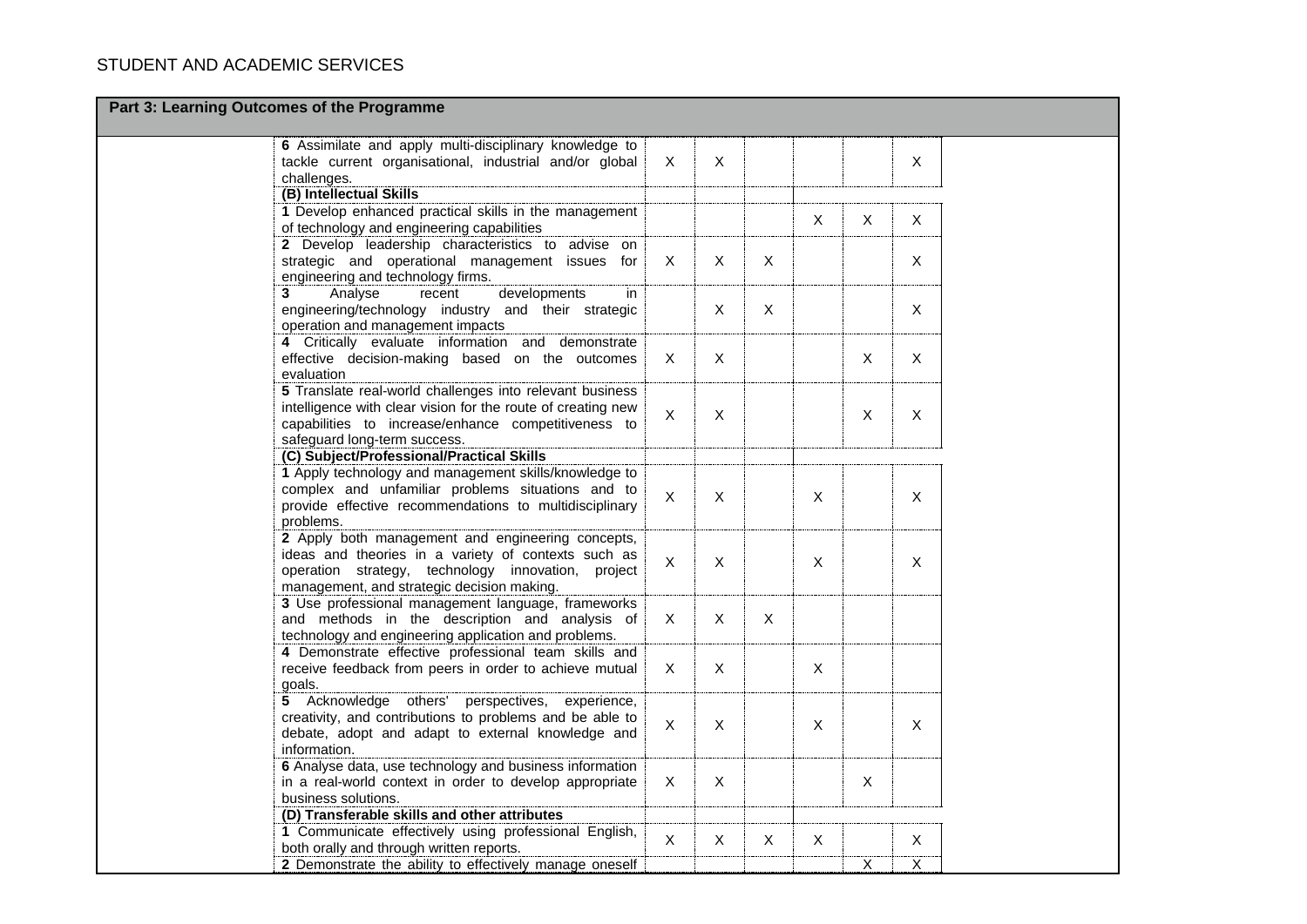| Part 3: Learning Outcomes of the Programme                                                                        |                |              |              |                           |              |                |  |
|-------------------------------------------------------------------------------------------------------------------|----------------|--------------|--------------|---------------------------|--------------|----------------|--|
| 6 Assimilate and apply multi-disciplinary knowledge to<br>tackle current organisational, industrial and/or global | $\times$       | $\mathsf{X}$ |              |                           |              | X              |  |
| challenges.                                                                                                       |                |              |              |                           |              |                |  |
| (B) Intellectual Skills                                                                                           |                |              |              |                           |              |                |  |
| 1 Develop enhanced practical skills in the management                                                             |                |              |              |                           |              |                |  |
| of technology and engineering capabilities                                                                        |                |              |              | X                         | X            | X              |  |
| 2 Develop leadership characteristics to advise on                                                                 |                |              |              |                           |              |                |  |
| strategic and operational management issues for                                                                   | X              | $\sf X$      | X            |                           |              | X              |  |
| engineering and technology firms.                                                                                 |                |              |              |                           |              |                |  |
| 3<br>developments<br>Analyse<br>recent<br>in.                                                                     |                |              |              |                           |              |                |  |
| engineering/technology industry and their strategic                                                               |                | $\mathsf X$  | $\mathsf{X}$ |                           |              | $\pmb{\times}$ |  |
| operation and management impacts                                                                                  |                |              |              |                           |              |                |  |
| 4 Critically evaluate information and demonstrate<br>effective decision-making based on the outcomes              | X              | $\mathsf{X}$ |              |                           | $\mathsf{X}$ | $\mathsf{X}$   |  |
| evaluation                                                                                                        |                |              |              |                           |              |                |  |
| 5 Translate real-world challenges into relevant business                                                          |                |              |              |                           |              |                |  |
| intelligence with clear vision for the route of creating new                                                      |                |              |              |                           |              |                |  |
| capabilities to increase/enhance competitiveness to                                                               | $\pmb{\times}$ | $\mathsf X$  |              |                           | X            | $\mathsf X$    |  |
| safeguard long-term success.                                                                                      |                |              |              |                           |              |                |  |
| (C) Subject/Professional/Practical Skills                                                                         |                |              |              |                           |              |                |  |
| 1 Apply technology and management skills/knowledge to                                                             |                |              |              |                           |              |                |  |
| complex and unfamiliar problems situations and to                                                                 | $\mathsf{X}$   | X            |              | $\boldsymbol{\mathsf{X}}$ |              | $\pmb{\times}$ |  |
| provide effective recommendations to multidisciplinary                                                            |                |              |              |                           |              |                |  |
| problems.                                                                                                         |                |              |              |                           |              |                |  |
| 2 Apply both management and engineering concepts,                                                                 |                |              |              |                           |              |                |  |
| ideas and theories in a variety of contexts such as                                                               | $\mathsf{X}$   | X            |              | $\boldsymbol{\mathsf{X}}$ |              | X              |  |
| operation strategy, technology innovation,<br>project<br>management, and strategic decision making.               |                |              |              |                           |              |                |  |
| 3 Use professional management language, frameworks                                                                |                |              |              |                           |              |                |  |
| and methods in the description and analysis of                                                                    | X              | $\mathsf{X}$ | X            |                           |              |                |  |
| technology and engineering application and problems.                                                              |                |              |              |                           |              |                |  |
| 4 Demonstrate effective professional team skills and                                                              |                |              |              |                           |              |                |  |
| receive feedback from peers in order to achieve mutual                                                            | X              | X            |              | X                         |              |                |  |
| goals.                                                                                                            |                |              |              |                           |              |                |  |
| 5 Acknowledge others' perspectives,<br>experience,                                                                |                |              |              |                           |              |                |  |
| creativity, and contributions to problems and be able to                                                          | X              | X            |              | $\boldsymbol{\mathsf{X}}$ |              | X              |  |
| debate, adopt and adapt to external knowledge and                                                                 |                |              |              |                           |              |                |  |
| information.                                                                                                      |                |              |              |                           |              |                |  |
| 6 Analyse data, use technology and business information                                                           |                |              |              |                           |              |                |  |
| in a real-world context in order to develop appropriate                                                           | X              | $\sf X$      |              |                           | X            |                |  |
| business solutions.<br>(D) Transferable skills and other attributes                                               |                |              |              |                           |              |                |  |
| 1 Communicate effectively using professional English,                                                             |                |              |              |                           |              |                |  |
| both orally and through written reports.                                                                          | $\mathsf{X}$   | Χ            | X.           | X                         |              | X              |  |
| 2 Demonstrate the ability to effectively manage oneself                                                           |                |              |              |                           | Χ            | X              |  |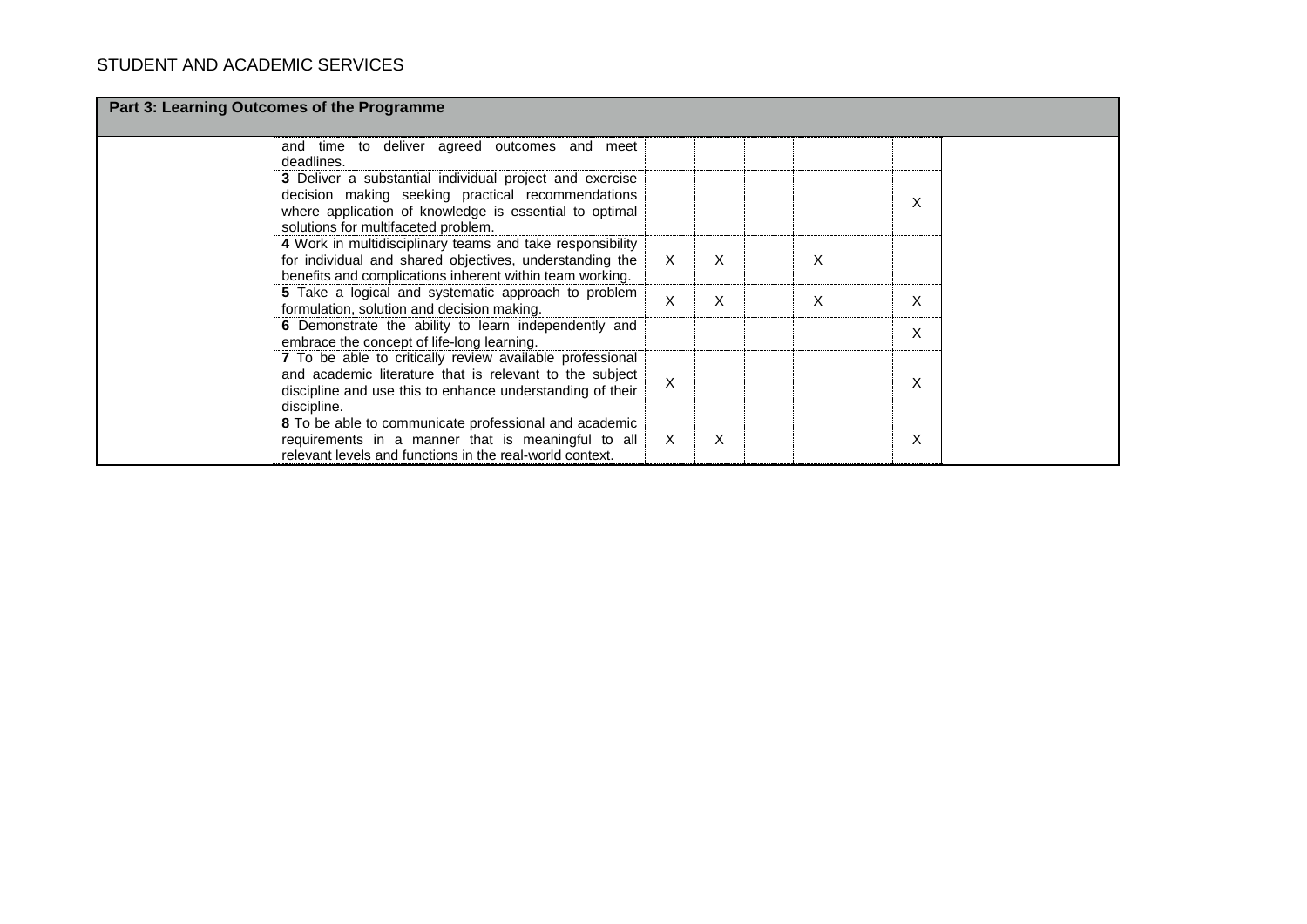| Part 3: Learning Outcomes of the Programme                                                                                                                                                                    |   |   |   |   |  |
|---------------------------------------------------------------------------------------------------------------------------------------------------------------------------------------------------------------|---|---|---|---|--|
| and time to deliver agreed outcomes and meet<br>deadlines.                                                                                                                                                    |   |   |   |   |  |
| 3 Deliver a substantial individual project and exercise<br>decision making seeking practical recommendations<br>where application of knowledge is essential to optimal<br>solutions for multifaceted problem. |   |   |   | X |  |
| 4 Work in multidisciplinary teams and take responsibility<br>for individual and shared objectives, understanding the<br>benefits and complications inherent within team working.                              | X | X | X |   |  |
| 5 Take a logical and systematic approach to problem<br>formulation, solution and decision making.                                                                                                             | X | X | X | X |  |
| 6 Demonstrate the ability to learn independently and<br>embrace the concept of life-long learning.                                                                                                            |   |   |   | X |  |
| 7 To be able to critically review available professional<br>and academic literature that is relevant to the subject<br>discipline and use this to enhance understanding of their<br>discipline.               | X |   |   | X |  |
| 8 To be able to communicate professional and academic<br>requirements in a manner that is meaningful to all<br>relevant levels and functions in the real-world context.                                       | X | X |   | X |  |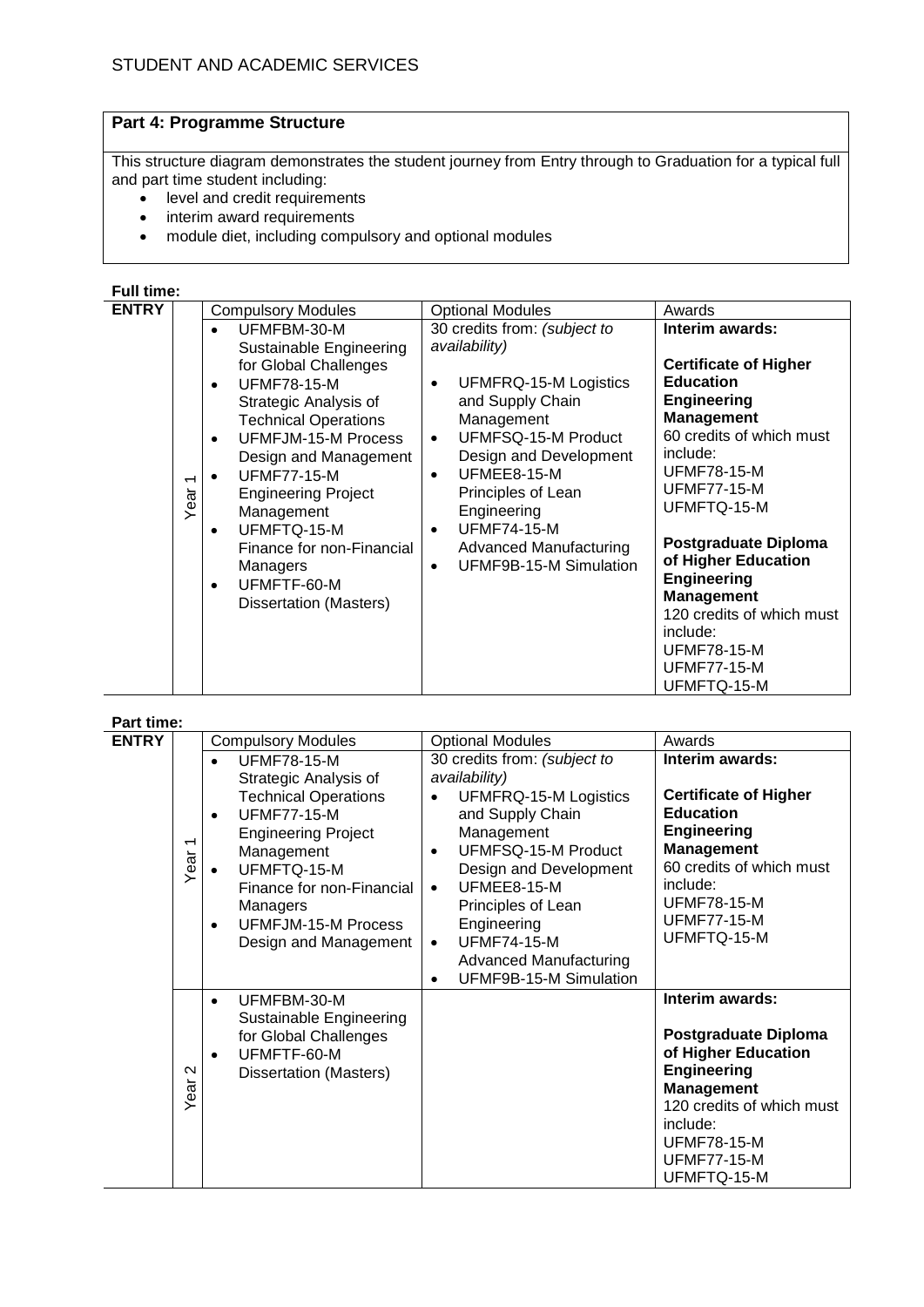## **Part 4: Programme Structure**

This structure diagram demonstrates the student journey from Entry through to Graduation for a typical full and part time student including:

- level and credit requirements
- interim award requirements
- module diet, including compulsory and optional modules

## **Full time:**

| <b>ENTRY</b> |                                  | <b>Compulsory Modules</b>                                                                                                                                                                                               | <b>Optional Modules</b>                                                                                                                                                  | Awards                                                                                                                                                                                                                                                       |
|--------------|----------------------------------|-------------------------------------------------------------------------------------------------------------------------------------------------------------------------------------------------------------------------|--------------------------------------------------------------------------------------------------------------------------------------------------------------------------|--------------------------------------------------------------------------------------------------------------------------------------------------------------------------------------------------------------------------------------------------------------|
|              |                                  | UFMFBM-30-M<br>$\bullet$<br>Sustainable Engineering<br>for Global Challenges<br><b>UFMF78-15-M</b><br>$\bullet$<br>Strategic Analysis of<br><b>Technical Operations</b><br>UFMFJM-15-M Process<br>Design and Management | 30 credits from: (subject to<br>availability)<br>UFMFRQ-15-M Logistics<br>and Supply Chain<br>Management<br>UFMFSQ-15-M Product<br>$\bullet$<br>Design and Development   | Interim awards:<br><b>Certificate of Higher</b><br><b>Education</b><br><b>Engineering</b><br><b>Management</b><br>60 credits of which must<br>include:                                                                                                       |
|              | $\overline{\phantom{0}}$<br>Year | <b>UFMF77-15-M</b><br><b>Engineering Project</b><br>Management<br>UFMFTQ-15-M<br>Finance for non-Financial<br>Managers<br>UFMFTF-60-M<br><b>Dissertation (Masters)</b>                                                  | UFMEE8-15-M<br>$\bullet$<br>Principles of Lean<br>Engineering<br><b>UFMF74-15-M</b><br>$\bullet$<br><b>Advanced Manufacturing</b><br>UFMF9B-15-M Simulation<br>$\bullet$ | <b>UFMF78-15-M</b><br><b>UFMF77-15-M</b><br>UFMFTQ-15-M<br><b>Postgraduate Diploma</b><br>of Higher Education<br><b>Engineering</b><br><b>Management</b><br>120 credits of which must<br>include:<br><b>UFMF78-15-M</b><br><b>UFMF77-15-M</b><br>UFMFTQ-15-M |

#### **Part time:**

|              | Part time:                       |                                                                                                                                                                                                                                                                                             |                                                                                                                                                                                                                                                                                                                          |                                                                                                                                                                                                                      |  |  |  |  |  |  |
|--------------|----------------------------------|---------------------------------------------------------------------------------------------------------------------------------------------------------------------------------------------------------------------------------------------------------------------------------------------|--------------------------------------------------------------------------------------------------------------------------------------------------------------------------------------------------------------------------------------------------------------------------------------------------------------------------|----------------------------------------------------------------------------------------------------------------------------------------------------------------------------------------------------------------------|--|--|--|--|--|--|
| <b>ENTRY</b> |                                  | <b>Compulsory Modules</b>                                                                                                                                                                                                                                                                   | <b>Optional Modules</b>                                                                                                                                                                                                                                                                                                  | Awards                                                                                                                                                                                                               |  |  |  |  |  |  |
|              | $\overline{\phantom{0}}$<br>Year | <b>UFMF78-15-M</b><br>$\bullet$<br>Strategic Analysis of<br><b>Technical Operations</b><br><b>UFMF77-15-M</b><br>$\bullet$<br><b>Engineering Project</b><br>Management<br>UFMFTQ-15-M<br>Finance for non-Financial<br>Managers<br>UFMFJM-15-M Process<br>$\bullet$<br>Design and Management | 30 credits from: (subject to<br>availability)<br>UFMFRQ-15-M Logistics<br>and Supply Chain<br>Management<br>UFMFSQ-15-M Product<br>Design and Development<br>UFMEE8-15-M<br>$\bullet$<br>Principles of Lean<br>Engineering<br><b>UFMF74-15-M</b><br>$\bullet$<br><b>Advanced Manufacturing</b><br>UFMF9B-15-M Simulation | Interim awards:<br><b>Certificate of Higher</b><br><b>Education</b><br><b>Engineering</b><br><b>Management</b><br>60 credits of which must<br>include:<br><b>UFMF78-15-M</b><br><b>UFMF77-15-M</b><br>UFMFTQ-15-M    |  |  |  |  |  |  |
|              | $\sim$<br>Year                   | UFMFBM-30-M<br>$\bullet$<br>Sustainable Engineering<br>for Global Challenges<br>UFMFTF-60-M<br>$\bullet$<br>Dissertation (Masters)                                                                                                                                                          |                                                                                                                                                                                                                                                                                                                          | Interim awards:<br><b>Postgraduate Diploma</b><br>of Higher Education<br><b>Engineering</b><br><b>Management</b><br>120 credits of which must<br>include:<br><b>UFMF78-15-M</b><br><b>UFMF77-15-M</b><br>UFMFTQ-15-M |  |  |  |  |  |  |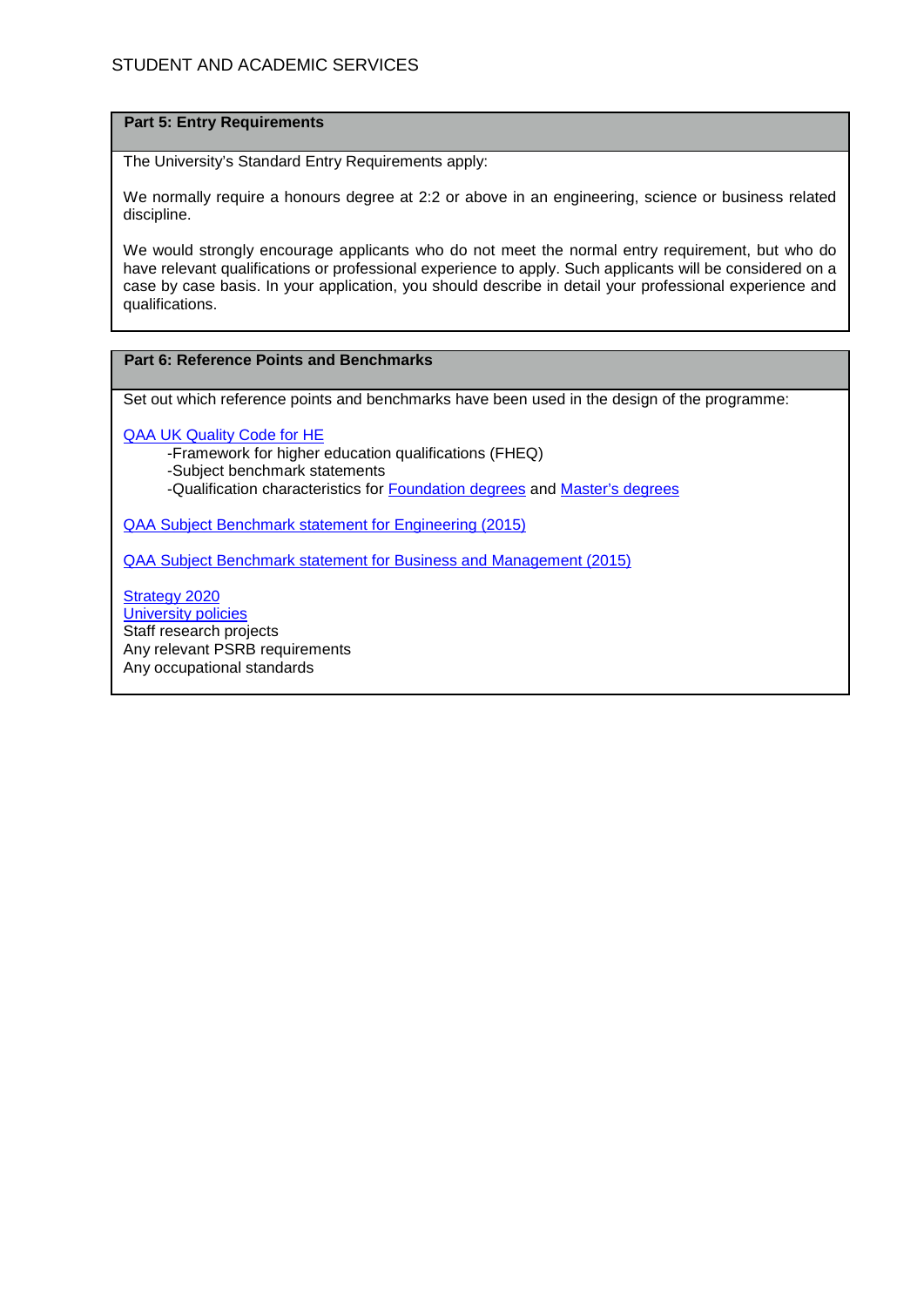#### **Part 5: Entry Requirements**

The University's Standard Entry Requirements apply:

We normally require a honours degree at 2:2 or above in an engineering, science or business related discipline.

We would strongly encourage applicants who do not meet the normal entry requirement, but who do have relevant qualifications or professional experience to apply. Such applicants will be considered on a case by case basis. In your application, you should describe in detail your professional experience and qualifications.

## **Part 6: Reference Points and Benchmarks**

Set out which reference points and benchmarks have been used in the design of the programme:

[QAA UK Quality Code for HE](http://www.qaa.ac.uk/assuringstandardsandquality/quality-code/Pages/default.aspx)

-Framework for higher education qualifications (FHEQ)

-Subject benchmark statements

-Qualification characteristics for [Foundation degrees](http://www.qaa.ac.uk/en/Publications/Documents/Foundation-degree-qualification-benchmark-2010.pdf) and [Master's degrees](http://www.qaa.ac.uk/en/Publications/Documents/Masters-Degree-Characteristics-2010.pdf)

[QAA Subject Benchmark statement for Engineering \(2015\)](http://www.qaa.ac.uk/en/Publications/Documents/SBS-engineering-15.pdf)

[QAA Subject Benchmark statement for Business and Management \(2015\)](http://www.qaa.ac.uk/en/Publications/Documents/SBS-business-management-15.pdf)

[Strategy 2020](http://www1.uwe.ac.uk/about/corporateinformation/strategy.aspx) [University](http://www1.uwe.ac.uk/aboutus/policies) policies Staff research projects Any relevant PSRB requirements Any occupational standards